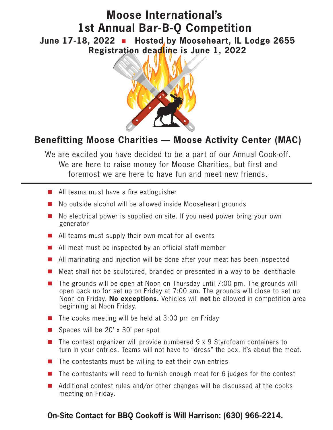# **Moose International's 1st Annual Bar-B-Q Competition**

June 17-18, 2022 **n** Hosted by Mooseheart, IL Lodge 2655 **Registration deadline is June 1, 2022**



## **Benefitting Moose Charities — Moose Activity Center (MAC)**

We are excited you have decided to be a part of our Annual Cook-off. We are here to raise money for Moose Charities, but first and foremost we are here to have fun and meet new friends.

- $\blacksquare$  All teams must have a fire extinguisher
- $\blacksquare$  No outside alcohol will be allowed inside Mooseheart grounds
- $\blacksquare$  No electrical power is supplied on site. If you need power bring your own generator
- $\blacksquare$  All teams must supply their own meat for all events
- $\blacksquare$  All meat must be inspected by an official staff member
- $\blacksquare$  All marinating and injection will be done after your meat has been inspected
- n Meat shall not be sculptured, branded or presented in a way to be identifiable
- $\blacksquare$  The grounds will be open at Noon on Thursday until 7:00 pm. The grounds will open back up for set up on Friday at 7:00 am. The grounds will close to set up Noon on Friday. **No exceptions.** Vehicles will **not** be allowed in competition area beginning at Noon Friday.
- $\blacksquare$  The cooks meeting will be held at 3:00 pm on Friday
- Spaces will be 20' x 30' per spot
- $\blacksquare$  The contest organizer will provide numbered 9 x 9 Styrofoam containers to turn in your entries. Teams will not have to "dress" the box. It's about the meat.
- The contestants must be willing to eat their own entries
- The contestants will need to furnish enough meat for 6 judges for the contest
- $\blacksquare$  Additional contest rules and/or other changes will be discussed at the cooks meeting on Friday.

### **On-Site Contact for BBQ Cookoff is Will Harrison: (630) 966-2214.**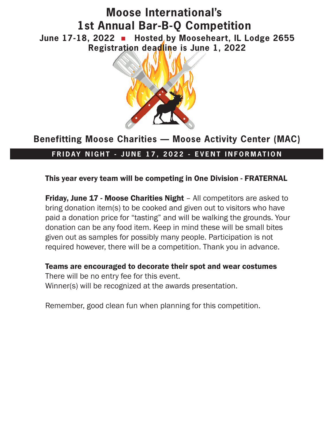# **Moose International's 1st Annual Bar-B-Q Competition June 17-18, 2022** n **Hosted by Mooseheart, IL Lodge 2655 Registration deadline is June 1, 2022**



## **Benefitting Moose Charities — Moose Activity Center (MAC)**

### **FRIDAY NIGHT - JUNE 17, 2022 - EVENT INFORMATION**

This year every team will be competing in One Division - FRATERNAL

**Friday, June 17 - Moose Charities Night** – All competitors are asked to bring donation item(s) to be cooked and given out to visitors who have paid a donation price for "tasting" and will be walking the grounds. Your donation can be any food item. Keep in mind these will be small bites given out as samples for possibly many people. Participation is not required however, there will be a competition. Thank you in advance.

Teams are encouraged to decorate their spot and wear costumes There will be no entry fee for this event. Winner(s) will be recognized at the awards presentation.

Remember, good clean fun when planning for this competition.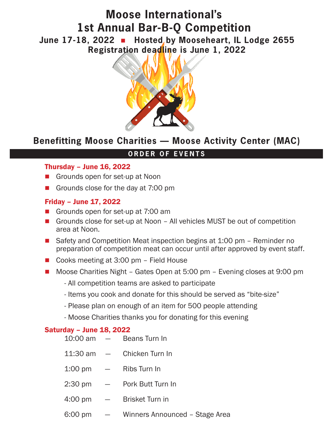## **Moose International's 1st Annual Bar-B-Q Competition June 17-18, 2022** n **Hosted by Mooseheart, IL Lodge 2655 Registration deadline is June 1, 2022**



### **Benefitting Moose Charities — Moose Activity Center (MAC)**

#### **ORDER OF EVENTS**

#### Thursday – June 16, 2022

- Grounds open for set-up at Noon
- Grounds close for the day at  $7:00 \text{ pm}$

#### Friday – June 17, 2022

- Grounds open for set-up at 7:00 am
- Grounds close for set-up at Noon All vehicles MUST be out of competition area at Noon.
- Safety and Competition Meat inspection begins at 1:00 pm Reminder no preparation of competition meat can occur until after approved by event staff.
- Cooks meeting at 3:00 pm Field House
- Moose Charities Night Gates Open at 5:00 pm Evening closes at 9:00 pm
	- All competition teams are asked to participate
	- Items you cook and donate for this should be served as "bite-size"
	- Please plan on enough of an item for 500 people attending
	- Moose Charities thanks you for donating for this evening

#### Saturday – June 18, 2022

| $10:00$ am $-$        |                          | Beans Turn In                  |
|-----------------------|--------------------------|--------------------------------|
| $11:30 \text{ am } -$ |                          | Chicken Turn In                |
| $1:00 \text{ pm}$     | $\sim$ $-$               | Ribs Turn In                   |
| $2:30 \text{ pm}$     | $\overline{\phantom{a}}$ | Pork Butt Turn In              |
| $4:00 \text{ pm}$     | $\overline{\phantom{0}}$ | <b>Brisket Turn in</b>         |
| 6:00 pm               | $\frac{1}{2}$            | Winners Announced - Stage Area |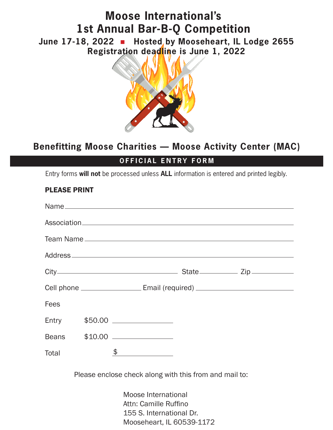# **Moose International's 1st Annual Bar-B-Q Competition** June 17-18, 2022 **n** Hosted by Mooseheart, IL Lodge 2655

**Registration deadline is June 1, 2022**



### **Benefitting Moose Charities — Moose Activity Center (MAC)**

### **OFFICIAL ENTRY FORM**

Entry forms **will not** be processed unless **ALL** information is entered and printed legibly.

### PLEASE PRINT

|                                                        |  | Team Name                                                                        |  |  |  |  |
|--------------------------------------------------------|--|----------------------------------------------------------------------------------|--|--|--|--|
|                                                        |  |                                                                                  |  |  |  |  |
|                                                        |  |                                                                                  |  |  |  |  |
|                                                        |  | Cell phone __________________________Email (required) __________________________ |  |  |  |  |
| <b>Fees</b>                                            |  |                                                                                  |  |  |  |  |
|                                                        |  | Entry \$50.00 ______________                                                     |  |  |  |  |
|                                                        |  | Beans \$10.00 ________________                                                   |  |  |  |  |
| Total                                                  |  | $\frac{1}{2}$                                                                    |  |  |  |  |
| Please enclose check along with this from and mail to: |  |                                                                                  |  |  |  |  |
| Moose International<br>Attn: Camille Ruffino           |  |                                                                                  |  |  |  |  |

 Attn: Camille Ruffino 155 S. International Dr. Mooseheart, IL 60539-1172